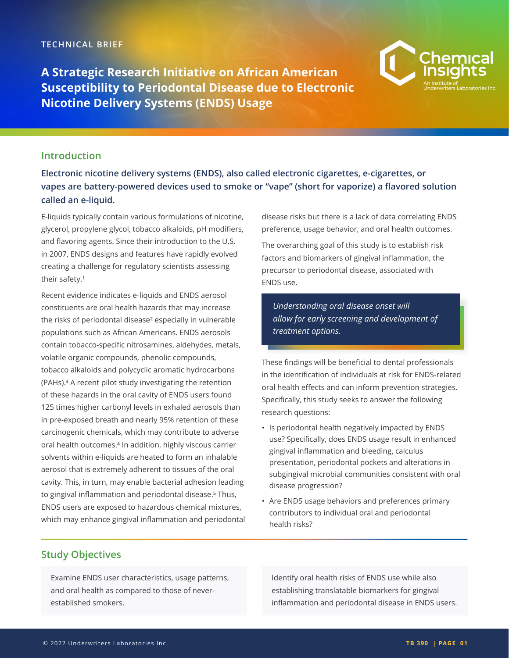**A Strategic Research Initiative on African American Susceptibility to Periodontal Disease due to Electronic Nicotine Delivery Systems (ENDS) Usage**



#### **Introduction**

**Electronic nicotine delivery systems (ENDS), also called electronic cigarettes, e-cigarettes, or vapes are battery-powered devices used to smoke or "vape" (short for vaporize) a flavored solution called an e-liquid.** 

E-liquids typically contain various formulations of nicotine, glycerol, propylene glycol, tobacco alkaloids, pH modifiers, and flavoring agents. Since their introduction to the U.S. in 2007, ENDS designs and features have rapidly evolved creating a challenge for regulatory scientists assessing their safety.<sup>1</sup>

Recent evidence indicates e-liquids and ENDS aerosol constituents are oral health hazards that may increase the risks of periodontal disease² especially in vulnerable populations such as African Americans. ENDS aerosols contain tobacco-specific nitrosamines, aldehydes, metals, volatile organic compounds, phenolic compounds, tobacco alkaloids and polycyclic aromatic hydrocarbons (PAHs).³ A recent pilot study investigating the retention of these hazards in the oral cavity of ENDS users found 125 times higher carbonyl levels in exhaled aerosols than in pre-exposed breath and nearly 95% retention of these carcinogenic chemicals, which may contribute to adverse oral health outcomes.<sup>4</sup> In addition, highly viscous carrier solvents within e-liquids are heated to form an inhalable aerosol that is extremely adherent to tissues of the oral cavity. This, in turn, may enable bacterial adhesion leading to gingival inflammation and periodontal disease.<sup>5</sup> Thus, ENDS users are exposed to hazardous chemical mixtures, which may enhance gingival inflammation and periodontal disease risks but there is a lack of data correlating ENDS preference, usage behavior, and oral health outcomes.

The overarching goal of this study is to establish risk factors and biomarkers of gingival inflammation, the precursor to periodontal disease, associated with ENDS use.

*Understanding oral disease onset will allow for early screening and development of treatment options.* 

These findings will be beneficial to dental professionals in the identification of individuals at risk for ENDS-related oral health effects and can inform prevention strategies. Specifically, this study seeks to answer the following research questions:

- Is periodontal health negatively impacted by ENDS use? Specifically, does ENDS usage result in enhanced gingival inflammation and bleeding, calculus presentation, periodontal pockets and alterations in subgingival microbial communities consistent with oral disease progression?
- Are ENDS usage behaviors and preferences primary contributors to individual oral and periodontal health risks?

#### **Study Objectives**

Examine ENDS user characteristics, usage patterns, and oral health as compared to those of neverestablished smokers.

Identify oral health risks of ENDS use while also establishing translatable biomarkers for gingival inflammation and periodontal disease in ENDS users.